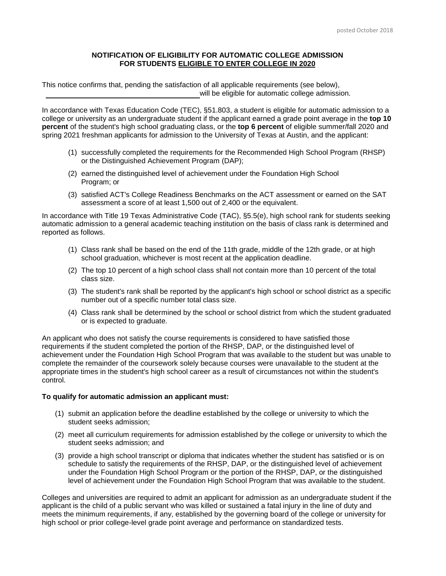## **NOTIFICATION OF ELIGIBILITY FOR AUTOMATIC COLLEGE ADMISSION FOR STUDENTS ELIGIBLE TO ENTER COLLEGE IN 2020**

This notice confirms that, pending the satisfaction of all applicable requirements (see below), will be eligible for automatic college admission.

In accordance with Texas Education Code (TEC), §51.803, a student is eligible for automatic admission to a college or university as an undergraduate student if the applicant earned a grade point average in the **top 10 percent** of the student's high school graduating class, or the **top 6 percent** of eligible summer/fall 2020 and spring 2021 freshman applicants for admission to the University of Texas at Austin, and the applicant:

- (1) successfully completed the requirements for the Recommended High School Program (RHSP) or the Distinguished Achievement Program (DAP);
- (2) earned the distinguished level of achievement under the Foundation High School Program; or
- (3) satisfied ACT's College Readiness Benchmarks on the ACT assessment or earned on the SAT assessment a score of at least 1,500 out of 2,400 or the equivalent.

In accordance with Title 19 Texas Administrative Code (TAC), §5.5(e), high school rank for students seeking automatic admission to a general academic teaching institution on the basis of class rank is determined and reported as follows.

- (1) Class rank shall be based on the end of the 11th grade, middle of the 12th grade, or at high school graduation, whichever is most recent at the application deadline.
- (2) The top 10 percent of a high school class shall not contain more than 10 percent of the total class size.
- (3) The student's rank shall be reported by the applicant's high school or school district as a specific number out of a specific number total class size.
- (4) Class rank shall be determined by the school or school district from which the student graduated or is expected to graduate.

An applicant who does not satisfy the course requirements is considered to have satisfied those requirements if the student completed the portion of the RHSP, DAP, or the distinguished level of achievement under the Foundation High School Program that was available to the student but was unable to complete the remainder of the coursework solely because courses were unavailable to the student at the appropriate times in the student's high school career as a result of circumstances not within the student's control.

## **To qualify for automatic admission an applicant must:**

- (1) submit an application before the deadline established by the college or university to which the student seeks admission;
- (2) meet all curriculum requirements for admission established by the college or university to which the student seeks admission; and
- (3) provide a high school transcript or diploma that indicates whether the student has satisfied or is on schedule to satisfy the requirements of the RHSP, DAP, or the distinguished level of achievement under the Foundation High School Program or the portion of the RHSP, DAP, or the distinguished level of achievement under the Foundation High School Program that was available to the student.

Colleges and universities are required to admit an applicant for admission as an undergraduate student if the applicant is the child of a public servant who was killed or sustained a fatal injury in the line of duty and meets the minimum requirements, if any, established by the governing board of the college or university for high school or prior college-level grade point average and performance on standardized tests.